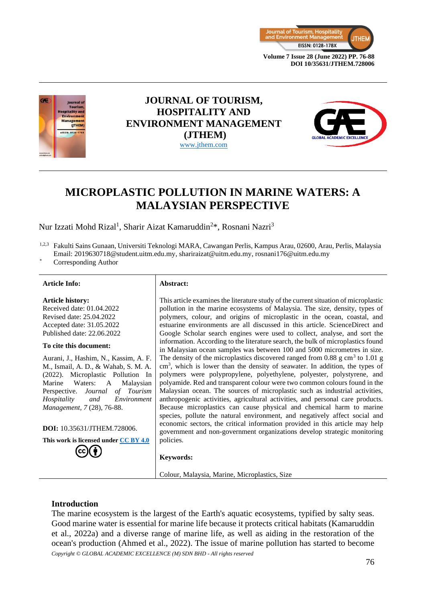



## **JOURNAL OF TOURISM, HOSPITALITY AND ENVIRONMENT MANAGEMENT (JTHEM)** [www.jthem.com](http://www.jthem.com/)



# **MICROPLASTIC POLLUTION IN MARINE WATERS: A MALAYSIAN PERSPECTIVE**

Nur Izzati Mohd Rizal<sup>1</sup>, Sharir Aizat Kamaruddin<sup>2\*</sup>, Rosnani Nazri<sup>3</sup>

1,2,3 Fakulti Sains Gunaan, Universiti Teknologi MARA, Cawangan Perlis, Kampus Arau, 02600, Arau, Perlis, Malaysia Email: 2019630718@student.uitm.edu.my, shariraizat@uitm.edu.my, rosnani176@uitm.edu.my

> This article examines the literature study of the current situation of microplastic pollution in the marine ecosystems of Malaysia. The size, density, types of polymers, colour, and origins of microplastic in the ocean, coastal, and estuarine environments are all discussed in this article. ScienceDirect and Google Scholar search engines were used to collect, analyse, and sort the information. According to the literature search, the bulk of microplastics found in Malaysian ocean samples was between 100 and 5000 micrometres in size. The density of the microplastics discovered ranged from  $0.88 \text{ g cm}^3$  to  $1.01 \text{ g}$ cm<sup>3</sup>, which is lower than the density of seawater. In addition, the types of polymers were polypropylene, polyethylene, polyester, polystyrene, and polyamide. Red and transparent colour were two common colours found in the Malaysian ocean. The sources of microplastic such as industrial activities, anthropogenic activities, agricultural activities, and personal care products. Because microplastics can cause physical and chemical harm to marine species, pollute the natural environment, and negatively affect social and economic sectors, the critical information provided in this article may help government and non-government organizations develop strategic monitoring

Corresponding Author

#### **Article Info: Abstract:**

**Article history:** Received date: 01.04.2022 Revised date: 25.04.2022 Accepted date: 31.05.2022 Published date: 22.06.2022

#### **To cite this document:**

Aurani, J., Hashim, N., Kassim, A. F. M., Ismail, A. D., & Wahab, S. M. A. (2022). Microplastic Pollution In Marine Waters: A Malaysian Perspective. *Journal of Tourism Hospitality and Environment Management, 7* (28), 76-88.

**DOI:** 10.35631/JTHEM.728006.

**This work is licensed under [CC BY 4.0](https://creativecommons.org/licenses/by/4.0/?ref=chooser-v1)**

## policies.

**Keywords:**

Colour, Malaysia, Marine, Microplastics, Size

#### **Introduction**

*Copyright © GLOBAL ACADEMIC EXCELLENCE (M) SDN BHD - All rights reserved* The marine ecosystem is the largest of the Earth's aquatic ecosystems, typified by salty seas. Good marine water is essential for marine life because it protects critical habitats (Kamaruddin et al., 2022a) and a diverse range of marine life, as well as aiding in the restoration of the ocean's production (Ahmed et al., 2022). The issue of marine pollution has started to become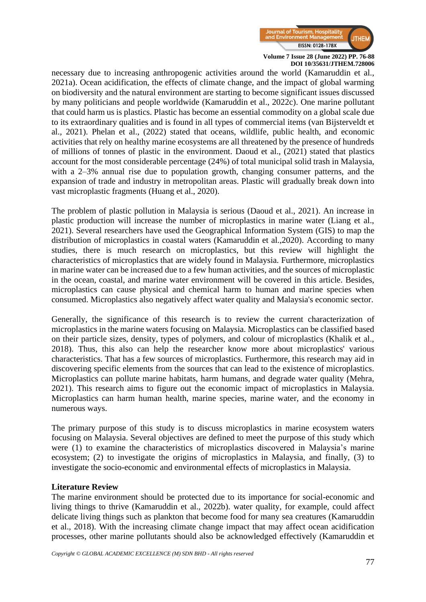

necessary due to increasing anthropogenic activities around the world (Kamaruddin et al., 2021a). Ocean acidification, the effects of climate change, and the impact of global warming on biodiversity and the natural environment are starting to become significant issues discussed by many politicians and people worldwide (Kamaruddin et al., 2022c). One marine pollutant that could harm us is plastics. Plastic has become an essential commodity on a global scale due to its extraordinary qualities and is found in all types of commercial items (van Bijsterveldt et al., 2021). Phelan et al., (2022) stated that oceans, wildlife, public health, and economic activities that rely on healthy marine ecosystems are all threatened by the presence of hundreds of millions of tonnes of plastic in the environment. Daoud et al., (2021) stated that plastics account for the most considerable percentage (24%) of total municipal solid trash in Malaysia, with a 2–3% annual rise due to population growth, changing consumer patterns, and the expansion of trade and industry in metropolitan areas. Plastic will gradually break down into vast microplastic fragments (Huang et al., 2020).

The problem of plastic pollution in Malaysia is serious (Daoud et al., 2021). An increase in plastic production will increase the number of microplastics in marine water (Liang et al., 2021). Several researchers have used the Geographical Information System (GIS) to map the distribution of microplastics in coastal waters (Kamaruddin et al.,2020). According to many studies, there is much research on microplastics, but this review will highlight the characteristics of microplastics that are widely found in Malaysia. Furthermore, microplastics in marine water can be increased due to a few human activities, and the sources of microplastic in the ocean, coastal, and marine water environment will be covered in this article. Besides, microplastics can cause physical and chemical harm to human and marine species when consumed. Microplastics also negatively affect water quality and Malaysia's economic sector.

Generally, the significance of this research is to review the current characterization of microplastics in the marine waters focusing on Malaysia. Microplastics can be classified based on their particle sizes, density, types of polymers, and colour of microplastics (Khalik et al., 2018). Thus, this also can help the researcher know more about microplastics' various characteristics. That has a few sources of microplastics. Furthermore, this research may aid in discovering specific elements from the sources that can lead to the existence of microplastics. Microplastics can pollute marine habitats, harm humans, and degrade water quality (Mehra, 2021). This research aims to figure out the economic impact of microplastics in Malaysia. Microplastics can harm human health, marine species, marine water, and the economy in numerous ways.

The primary purpose of this study is to discuss microplastics in marine ecosystem waters focusing on Malaysia. Several objectives are defined to meet the purpose of this study which were (1) to examine the characteristics of microplastics discovered in Malaysia's marine ecosystem; (2) to investigate the origins of microplastics in Malaysia, and finally, (3) to investigate the socio-economic and environmental effects of microplastics in Malaysia.

#### **Literature Review**

The marine environment should be protected due to its importance for social-economic and living things to thrive (Kamaruddin et al., 2022b). water quality, for example, could affect delicate living things such as plankton that become food for many sea creatures (Kamaruddin et al., 2018). With the increasing climate change impact that may affect ocean acidification processes, other marine pollutants should also be acknowledged effectively (Kamaruddin et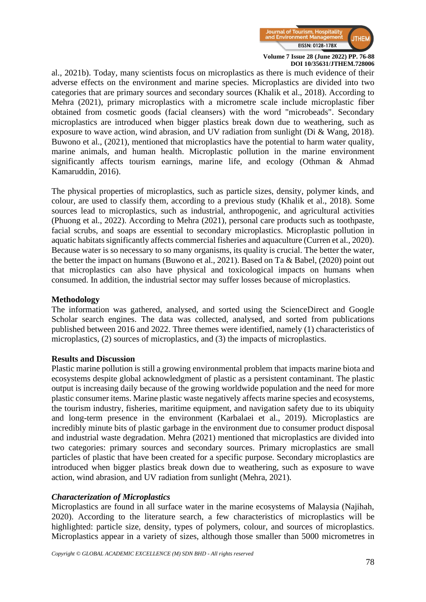

al., 2021b). Today, many scientists focus on microplastics as there is much evidence of their adverse effects on the environment and marine species. Microplastics are divided into two categories that are primary sources and secondary sources (Khalik et al., 2018). According to Mehra (2021), primary microplastics with a micrometre scale include microplastic fiber obtained from cosmetic goods (facial cleansers) with the word "microbeads". Secondary microplastics are introduced when bigger plastics break down due to weathering, such as exposure to wave action, wind abrasion, and UV radiation from sunlight (Di & Wang, 2018). Buwono et al., (2021), mentioned that microplastics have the potential to harm water quality, marine animals, and human health. Microplastic pollution in the marine environment significantly affects tourism earnings, marine life, and ecology (Othman & Ahmad Kamaruddin, 2016).

The physical properties of microplastics, such as particle sizes, density, polymer kinds, and colour, are used to classify them, according to a previous study (Khalik et al., 2018). Some sources lead to microplastics, such as industrial, anthropogenic, and agricultural activities (Phuong et al., 2022). According to Mehra (2021), personal care products such as toothpaste, facial scrubs, and soaps are essential to secondary microplastics. Microplastic pollution in aquatic habitats significantly affects commercial fisheries and aquaculture (Curren et al., 2020). Because water is so necessary to so many organisms, its quality is crucial. The better the water, the better the impact on humans (Buwono et al., 2021). Based on Ta & Babel, (2020) point out that microplastics can also have physical and toxicological impacts on humans when consumed. In addition, the industrial sector may suffer losses because of microplastics.

### **Methodology**

The information was gathered, analysed, and sorted using the ScienceDirect and Google Scholar search engines. The data was collected, analysed, and sorted from publications published between 2016 and 2022. Three themes were identified, namely (1) characteristics of microplastics, (2) sources of microplastics, and (3) the impacts of microplastics.

#### **Results and Discussion**

Plastic marine pollution is still a growing environmental problem that impacts marine biota and ecosystems despite global acknowledgment of plastic as a persistent contaminant. The plastic output is increasing daily because of the growing worldwide population and the need for more plastic consumer items. Marine plastic waste negatively affects marine species and ecosystems, the tourism industry, fisheries, maritime equipment, and navigation safety due to its ubiquity and long-term presence in the environment (Karbalaei et al., 2019). Microplastics are incredibly minute bits of plastic garbage in the environment due to consumer product disposal and industrial waste degradation. Mehra (2021) mentioned that microplastics are divided into two categories: primary sources and secondary sources. Primary microplastics are small particles of plastic that have been created for a specific purpose. Secondary microplastics are introduced when bigger plastics break down due to weathering, such as exposure to wave action, wind abrasion, and UV radiation from sunlight (Mehra, 2021).

#### *Characterization of Microplastics*

Microplastics are found in all surface water in the marine ecosystems of Malaysia (Najihah, 2020). According to the literature search, a few characteristics of microplastics will be highlighted: particle size, density, types of polymers, colour, and sources of microplastics. Microplastics appear in a variety of sizes, although those smaller than 5000 micrometres in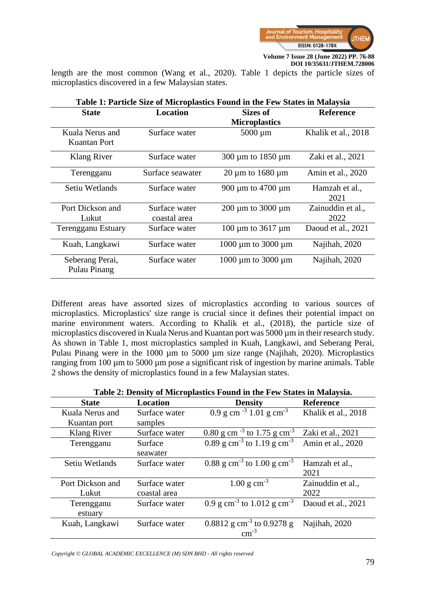

length are the most common (Wang et al., 2020). Table 1 depicts the particle sizes of microplastics discovered in a few Malaysian states.

| Table 1: Particle Size of Microplastics Found in the Few States in Malaysia |                              |                     |  |
|-----------------------------------------------------------------------------|------------------------------|---------------------|--|
| Location                                                                    | Sizes of                     | <b>Reference</b>    |  |
|                                                                             | <b>Microplastics</b>         |                     |  |
| Surface water                                                               | $5000 \mu m$                 | Khalik et al., 2018 |  |
|                                                                             |                              |                     |  |
| Surface water                                                               | 300 µm to 1850 µm            | Zaki et al., 2021   |  |
| Surface seawater                                                            | $20 \mu m$ to 1680 $\mu m$   | Amin et al., 2020   |  |
| Surface water                                                               | 900 µm to 4700 µm            | Hamzah et al.,      |  |
|                                                                             |                              | 2021                |  |
| Surface water                                                               | 200 µm to 3000 µm            | Zainuddin et al.,   |  |
| coastal area                                                                |                              | 2022                |  |
| Surface water                                                               | 100 $\mu$ m to 3617 $\mu$ m  | Daoud et al., 2021  |  |
| Surface water                                                               | 1000 $\mu$ m to 3000 $\mu$ m | Najihah, 2020       |  |
| Surface water                                                               | 1000 $\mu$ m to 3000 $\mu$ m | Najihah, 2020       |  |
|                                                                             |                              |                     |  |

Different areas have assorted sizes of microplastics according to various sources of microplastics. Microplastics' size range is crucial since it defines their potential impact on marine environment waters. According to Khalik et al., (2018), the particle size of microplastics discovered in Kuala Nerus and Kuantan port was 5000  $\mu$ m in their research study. As shown in Table 1, most microplastics sampled in Kuah, Langkawi, and Seberang Perai, Pulau Pinang were in the 1000  $\mu$ m to 5000  $\mu$ m size range (Najihah, 2020). Microplastics ranging from 100 µm to 5000 µm pose a significant risk of ingestion by marine animals. Table 2 shows the density of microplastics found in a few Malaysian states.

| <b>State</b>     | <b>Location</b> | <b>Density</b>                                       | <b>Reference</b>    |
|------------------|-----------------|------------------------------------------------------|---------------------|
| Kuala Nerus and  | Surface water   | 0.9 g cm <sup>-3</sup> 1.01 g cm <sup>-3</sup>       | Khalik et al., 2018 |
| Kuantan port     | samples         |                                                      |                     |
| Klang River      | Surface water   | $0.80$ g cm <sup>-3</sup> to 1.75 g cm <sup>-3</sup> | Zaki et al., 2021   |
| Terengganu       | Surface         | 0.89 g cm <sup>-3</sup> to 1.19 g cm <sup>-3</sup>   | Amin et al., 2020   |
|                  | seawater        |                                                      |                     |
| Setiu Wetlands   | Surface water   | 0.88 g cm <sup>-3</sup> to 1.00 g cm <sup>-3</sup>   | Hamzah et al.,      |
|                  |                 |                                                      | 2021                |
| Port Dickson and | Surface water   | $1.00 \text{ g cm}^{-3}$                             | Zainuddin et al.,   |
| Lukut            | coastal area    |                                                      | 2022                |
| Terengganu       | Surface water   | 0.9 g cm <sup>-3</sup> to $1.012$ g cm <sup>-3</sup> | Daoud et al., 2021  |
| estuary          |                 |                                                      |                     |
| Kuah, Langkawi   | Surface water   | 0.8812 g cm <sup>-3</sup> to 0.9278 g                | Najihah, 2020       |
|                  |                 | $cm^{-3}$                                            |                     |

**Table 2: Density of Microplastics Found in the Few States in Malaysia.**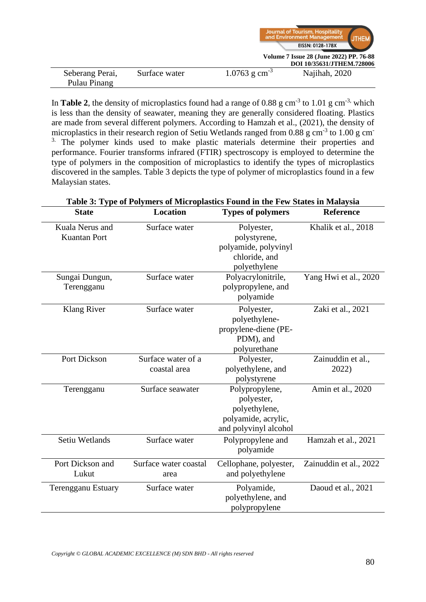|                 |               |                             | Journal of Tourism, Hospitality<br>and Environment Management |  |
|-----------------|---------------|-----------------------------|---------------------------------------------------------------|--|
|                 |               |                             | EISSN: 0128-178X                                              |  |
|                 |               |                             | Volume 7 Issue 28 (June 2022) PP. 76-88                       |  |
|                 |               |                             | DOI 10/35631/JTHEM.728006                                     |  |
| Seberang Perai, | Surface water | $1.0763$ g cm <sup>-3</sup> | Najihah, 2020                                                 |  |
| Pulau Pinang    |               |                             |                                                               |  |

In **Table 2**, the density of microplastics found had a range of 0.88 g cm<sup>-3</sup> to 1.01 g cm<sup>-3,</sup> which is less than the density of seawater, meaning they are generally considered floating. Plastics are made from several different polymers. According to Hamzah et al., (2021), the density of microplastics in their research region of Setiu Wetlands ranged from  $0.88$  g cm<sup>-3</sup> to  $1.00$  g cm<sup>-</sup> <sup>3</sup>. The polymer kinds used to make plastic materials determine their properties and performance. Fourier transforms infrared (FTIR) spectroscopy is employed to determine the type of polymers in the composition of microplastics to identify the types of microplastics discovered in the samples. Table 3 depicts the type of polymer of microplastics found in a few Malaysian states.

| Table 3: Type of Polymers of Microplastics Found in the Few States in Malaysia |                       |                          |                        |  |
|--------------------------------------------------------------------------------|-----------------------|--------------------------|------------------------|--|
| <b>State</b>                                                                   | <b>Location</b>       | <b>Types of polymers</b> | <b>Reference</b>       |  |
| Kuala Nerus and                                                                | Surface water         | Polyester,               | Khalik et al., 2018    |  |
| <b>Kuantan Port</b>                                                            |                       | polystyrene,             |                        |  |
|                                                                                |                       | polyamide, polyvinyl     |                        |  |
|                                                                                |                       | chloride, and            |                        |  |
|                                                                                |                       | polyethylene             |                        |  |
| Sungai Dungun,                                                                 | Surface water         | Polyacrylonitrile,       | Yang Hwi et al., 2020  |  |
| Terengganu                                                                     |                       | polypropylene, and       |                        |  |
|                                                                                |                       | polyamide                |                        |  |
| <b>Klang River</b>                                                             | Surface water         | Polyester,               | Zaki et al., 2021      |  |
|                                                                                |                       | polyethylene-            |                        |  |
|                                                                                |                       | propylene-diene (PE-     |                        |  |
|                                                                                |                       | PDM), and                |                        |  |
|                                                                                |                       | polyurethane             |                        |  |
| <b>Port Dickson</b>                                                            | Surface water of a    | Polyester,               | Zainuddin et al.,      |  |
|                                                                                | coastal area          | polyethylene, and        | 2022)                  |  |
|                                                                                |                       | polystyrene              |                        |  |
| Terengganu                                                                     | Surface seawater      | Polypropylene,           | Amin et al., 2020      |  |
|                                                                                |                       | polyester,               |                        |  |
|                                                                                |                       | polyethylene,            |                        |  |
|                                                                                |                       | polyamide, acrylic,      |                        |  |
|                                                                                |                       | and polyvinyl alcohol    |                        |  |
| Setiu Wetlands                                                                 | Surface water         | Polypropylene and        | Hamzah et al., 2021    |  |
|                                                                                |                       | polyamide                |                        |  |
| Port Dickson and                                                               | Surface water coastal | Cellophane, polyester,   | Zainuddin et al., 2022 |  |
| Lukut                                                                          | area                  | and polyethylene         |                        |  |
| <b>Terengganu Estuary</b>                                                      | Surface water         | Polyamide,               | Daoud et al., 2021     |  |
|                                                                                |                       | polyethylene, and        |                        |  |
|                                                                                |                       | polypropylene            |                        |  |

*Copyright © GLOBAL ACADEMIC EXCELLENCE (M) SDN BHD - All rights reserved*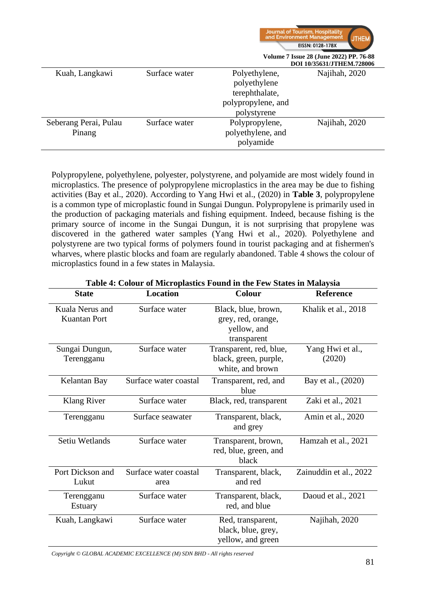|                                 |               |                                                                                      | Journal of Tourism, Hospitality<br>and Environment Management<br><b>JTHEM</b><br>EISSN: 0128-178X<br>Volume 7 Issue 28 (June 2022) PP. 76-88<br>DOI 10/35631/JTHEM.728006 |
|---------------------------------|---------------|--------------------------------------------------------------------------------------|---------------------------------------------------------------------------------------------------------------------------------------------------------------------------|
| Kuah, Langkawi                  | Surface water | Polyethylene,<br>polyethylene<br>terephthalate,<br>polypropylene, and<br>polystyrene | Najihah, 2020                                                                                                                                                             |
| Seberang Perai, Pulau<br>Pinang | Surface water | Polypropylene,<br>polyethylene, and<br>polyamide                                     | Najihah, 2020                                                                                                                                                             |

Polypropylene, polyethylene, polyester, polystyrene, and polyamide are most widely found in microplastics. The presence of polypropylene microplastics in the area may be due to fishing activities (Bay et al., 2020). According to Yang Hwi et al., (2020) in **Table 3**, polypropylene is a common type of microplastic found in Sungai Dungun. Polypropylene is primarily used in the production of packaging materials and fishing equipment. Indeed, because fishing is the primary source of income in the Sungai Dungun, it is not surprising that propylene was discovered in the gathered water samples (Yang Hwi et al., 2020). Polyethylene and polystyrene are two typical forms of polymers found in tourist packaging and at fishermen's wharves, where plastic blocks and foam are regularly abandoned. Table 4 shows the colour of microplastics found in a few states in Malaysia.

| Table 4. Colour of ivilefoplastics Found in the Few Blates in Malaysia |                       |                         |                        |  |
|------------------------------------------------------------------------|-----------------------|-------------------------|------------------------|--|
| <b>State</b>                                                           | <b>Location</b>       | Colour                  | <b>Reference</b>       |  |
| Kuala Nerus and                                                        | Surface water         | Black, blue, brown,     | Khalik et al., 2018    |  |
| <b>Kuantan Port</b>                                                    |                       | grey, red, orange,      |                        |  |
|                                                                        |                       | yellow, and             |                        |  |
|                                                                        |                       | transparent             |                        |  |
| Sungai Dungun,                                                         | Surface water         | Transparent, red, blue, | Yang Hwi et al.,       |  |
| Terengganu                                                             |                       | black, green, purple,   | (2020)                 |  |
|                                                                        |                       | white, and brown        |                        |  |
| Kelantan Bay                                                           | Surface water coastal | Transparent, red, and   | Bay et al., (2020)     |  |
|                                                                        |                       | blue                    |                        |  |
| Klang River                                                            | Surface water         | Black, red, transparent | Zaki et al., 2021      |  |
| Terengganu                                                             | Surface seawater      | Transparent, black,     | Amin et al., 2020      |  |
|                                                                        |                       | and grey                |                        |  |
| Setiu Wetlands                                                         | Surface water         | Transparent, brown,     | Hamzah et al., 2021    |  |
|                                                                        |                       | red, blue, green, and   |                        |  |
|                                                                        |                       | black                   |                        |  |
| Port Dickson and                                                       | Surface water coastal | Transparent, black,     | Zainuddin et al., 2022 |  |
| Lukut                                                                  | area                  | and red                 |                        |  |
| Terengganu                                                             | Surface water         | Transparent, black,     | Daoud et al., 2021     |  |
| <b>Estuary</b>                                                         |                       | red, and blue           |                        |  |
| Kuah, Langkawi                                                         | Surface water         | Red, transparent,       | Najihah, 2020          |  |
|                                                                        |                       | black, blue, grey,      |                        |  |
|                                                                        |                       | yellow, and green       |                        |  |

**Table 4: Colour of Microplastics Found in the Few States in Malaysia**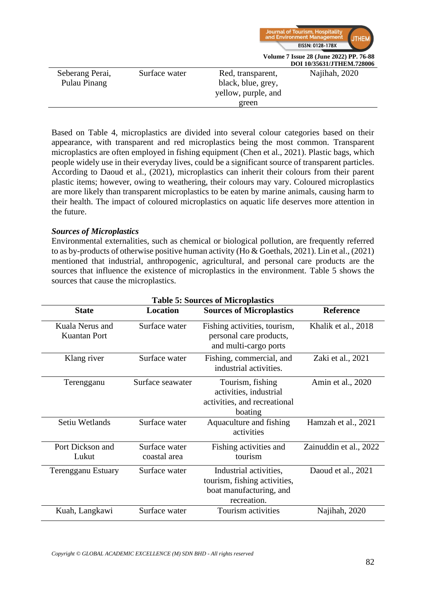

|               |                     | <b>DUI 10/35031/J LILENI, / 20000</b> |
|---------------|---------------------|---------------------------------------|
| Surface water | Red, transparent,   | Najihah, 2020                         |
|               | black, blue, grey,  |                                       |
|               | yellow, purple, and |                                       |
|               | green               |                                       |
|               |                     |                                       |

Based on Table 4, microplastics are divided into several colour categories based on their appearance, with transparent and red microplastics being the most common. Transparent microplastics are often employed in fishing equipment (Chen et al., 2021). Plastic bags, which people widely use in their everyday lives, could be a significant source of transparent particles. According to Daoud et al., (2021), microplastics can inherit their colours from their parent plastic items; however, owing to weathering, their colours may vary. Coloured microplastics are more likely than transparent microplastics to be eaten by marine animals, causing harm to their health. The impact of coloured microplastics on aquatic life deserves more attention in the future.

### *Sources of Microplastics*

Environmental externalities, such as chemical or biological pollution, are frequently referred to as by-products of otherwise positive human activity (Ho & Goethals, 2021). Lin et al., (2021) mentioned that industrial, anthropogenic, agricultural, and personal care products are the sources that influence the existence of microplastics in the environment. Table 5 shows the sources that cause the microplastics.

| Table 5: Sources of Microplastics      |                               |                                                                                                  |                        |  |
|----------------------------------------|-------------------------------|--------------------------------------------------------------------------------------------------|------------------------|--|
| <b>State</b>                           | <b>Location</b>               | <b>Sources of Microplastics</b>                                                                  | <b>Reference</b>       |  |
| Kuala Nerus and<br><b>Kuantan Port</b> | Surface water                 | Fishing activities, tourism,<br>personal care products,<br>and multi-cargo ports                 | Khalik et al., 2018    |  |
| Klang river                            | Surface water                 | Fishing, commercial, and<br>industrial activities.                                               | Zaki et al., 2021      |  |
| Terengganu                             | Surface seawater              | Tourism, fishing<br>activities, industrial<br>activities, and recreational<br>boating            | Amin et al., 2020      |  |
| Setiu Wetlands                         | Surface water                 | Aquaculture and fishing<br>activities                                                            | Hamzah et al., 2021    |  |
| Port Dickson and<br>Lukut              | Surface water<br>coastal area | Fishing activities and<br>tourism                                                                | Zainuddin et al., 2022 |  |
| <b>Terengganu Estuary</b>              | Surface water                 | Industrial activities,<br>tourism, fishing activities,<br>boat manufacturing, and<br>recreation. | Daoud et al., 2021     |  |
| Kuah, Langkawi                         | Surface water                 | Tourism activities                                                                               | Najihah, 2020          |  |

**Table 5: Sources of Microplastics**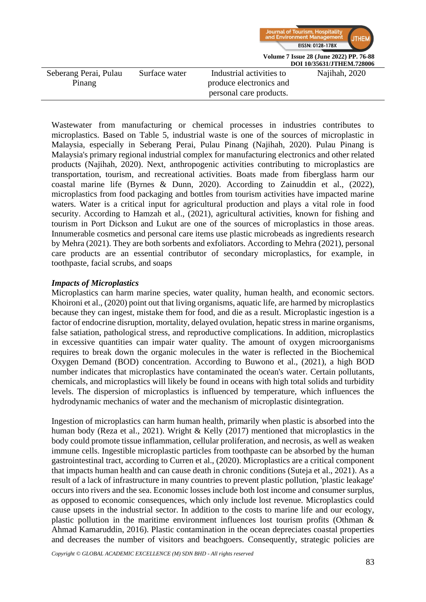

Wastewater from manufacturing or chemical processes in industries contributes to microplastics. Based on Table 5, industrial waste is one of the sources of microplastic in Malaysia, especially in Seberang Perai, Pulau Pinang (Najihah, 2020). Pulau Pinang is Malaysia's primary regional industrial complex for manufacturing electronics and other related products (Najihah, 2020). Next, anthropogenic activities contributing to microplastics are transportation, tourism, and recreational activities. Boats made from fiberglass harm our coastal marine life (Byrnes & Dunn, 2020). According to Zainuddin et al., (2022), microplastics from food packaging and bottles from tourism activities have impacted marine waters. Water is a critical input for agricultural production and plays a vital role in food security. According to Hamzah et al., (2021), agricultural activities, known for fishing and tourism in Port Dickson and Lukut are one of the sources of microplastics in those areas. Innumerable cosmetics and personal care items use plastic microbeads as ingredients research by Mehra (2021). They are both sorbents and exfoliators. According to Mehra (2021), personal care products are an essential contributor of secondary microplastics, for example, in toothpaste, facial scrubs, and soaps

### *Impacts of Microplastics*

Microplastics can harm marine species, water quality, human health, and economic sectors. Khoironi et al., (2020) point out that living organisms, aquatic life, are harmed by microplastics because they can ingest, mistake them for food, and die as a result. Microplastic ingestion is a factor of endocrine disruption, mortality, delayed ovulation, hepatic stress in marine organisms, false satiation, pathological stress, and reproductive complications. In addition, microplastics in excessive quantities can impair water quality. The amount of oxygen microorganisms requires to break down the organic molecules in the water is reflected in the Biochemical Oxygen Demand (BOD) concentration. According to Buwono et al., (2021), a high BOD number indicates that microplastics have contaminated the ocean's water. Certain pollutants, chemicals, and microplastics will likely be found in oceans with high total solids and turbidity levels. The dispersion of microplastics is influenced by temperature, which influences the hydrodynamic mechanics of water and the mechanism of microplastic disintegration.

Ingestion of microplastics can harm human health, primarily when plastic is absorbed into the human body (Reza et al., 2021). Wright & Kelly (2017) mentioned that microplastics in the body could promote tissue inflammation, cellular proliferation, and necrosis, as well as weaken immune cells. Ingestible microplastic particles from toothpaste can be absorbed by the human gastrointestinal tract, according to Curren et al., (2020). Microplastics are a critical component that impacts human health and can cause death in chronic conditions (Suteja et al., 2021). As a result of a lack of infrastructure in many countries to prevent plastic pollution, 'plastic leakage' occurs into rivers and the sea. Economic losses include both lost income and consumer surplus, as opposed to economic consequences, which only include lost revenue. Microplastics could cause upsets in the industrial sector. In addition to the costs to marine life and our ecology, plastic pollution in the maritime environment influences lost tourism profits (Othman & Ahmad Kamaruddin, 2016). Plastic contamination in the ocean depreciates coastal properties and decreases the number of visitors and beachgoers. Consequently, strategic policies are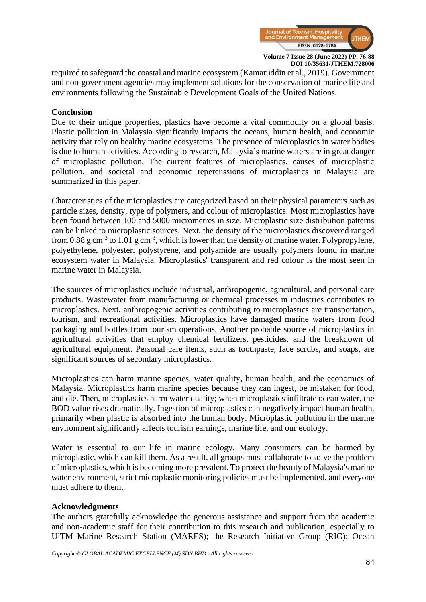

required to safeguard the coastal and marine ecosystem (Kamaruddin et al., 2019). Government and non-government agencies may implement solutions for the conservation of marine life and environments following the Sustainable Development Goals of the United Nations.

#### **Conclusion**

Due to their unique properties, plastics have become a vital commodity on a global basis. Plastic pollution in Malaysia significantly impacts the oceans, human health, and economic activity that rely on healthy marine ecosystems. The presence of microplastics in water bodies is due to human activities. According to research, Malaysia's marine waters are in great danger of microplastic pollution. The current features of microplastics, causes of microplastic pollution, and societal and economic repercussions of microplastics in Malaysia are summarized in this paper.

Characteristics of the microplastics are categorized based on their physical parameters such as particle sizes, density, type of polymers, and colour of microplastics. Most microplastics have been found between 100 and 5000 micrometres in size. Microplastic size distribution patterns can be linked to microplastic sources. Next, the density of the microplastics discovered ranged from 0.88 g cm<sup>-3</sup> to 1.01 g cm<sup>-3</sup>, which is lower than the density of marine water. Polypropylene, polyethylene, polyester, polystyrene, and polyamide are usually polymers found in marine ecosystem water in Malaysia. Microplastics' transparent and red colour is the most seen in marine water in Malaysia.

The sources of microplastics include industrial, anthropogenic, agricultural, and personal care products. Wastewater from manufacturing or chemical processes in industries contributes to microplastics. Next, anthropogenic activities contributing to microplastics are transportation, tourism, and recreational activities. Microplastics have damaged marine waters from food packaging and bottles from tourism operations. Another probable source of microplastics in agricultural activities that employ chemical fertilizers, pesticides, and the breakdown of agricultural equipment. Personal care items, such as toothpaste, face scrubs, and soaps, are significant sources of secondary microplastics.

Microplastics can harm marine species, water quality, human health, and the economics of Malaysia. Microplastics harm marine species because they can ingest, be mistaken for food, and die. Then, microplastics harm water quality; when microplastics infiltrate ocean water, the BOD value rises dramatically. Ingestion of microplastics can negatively impact human health, primarily when plastic is absorbed into the human body. Microplastic pollution in the marine environment significantly affects tourism earnings, marine life, and our ecology.

Water is essential to our life in marine ecology. Many consumers can be harmed by microplastic, which can kill them. As a result, all groups must collaborate to solve the problem of microplastics, which is becoming more prevalent. To protect the beauty of Malaysia's marine water environment, strict microplastic monitoring policies must be implemented, and everyone must adhere to them.

#### **Acknowledgments**

The authors gratefully acknowledge the generous assistance and support from the academic and non-academic staff for their contribution to this research and publication, especially to UiTM Marine Research Station (MARES); the Research Initiative Group (RIG): Ocean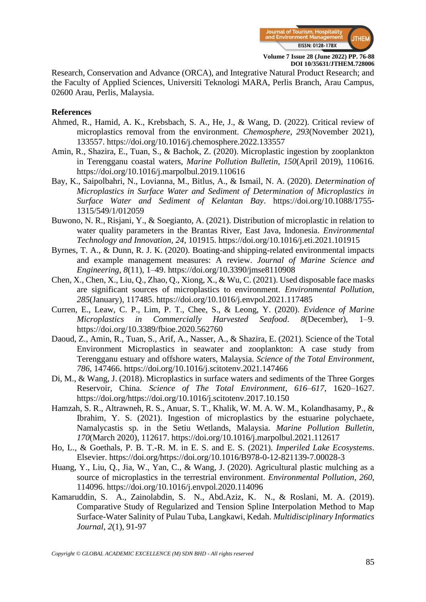

Research, Conservation and Advance (ORCA), and Integrative Natural Product Research; and the Faculty of Applied Sciences, Universiti Teknologi MARA, Perlis Branch, Arau Campus, 02600 Arau, Perlis, Malaysia.

#### **References**

- Ahmed, R., Hamid, A. K., Krebsbach, S. A., He, J., & Wang, D. (2022). Critical review of microplastics removal from the environment. *Chemosphere*, *293*(November 2021), 133557. https://doi.org/10.1016/j.chemosphere.2022.133557
- Amin, R., Shazira, E., Tuan, S., & Bachok, Z. (2020). Microplastic ingestion by zooplankton in Terengganu coastal waters, *Marine Pollution Bulletin*, *150*(April 2019), 110616. https://doi.org/10.1016/j.marpolbul.2019.110616
- Bay, K., Saipolbahri, N., Lovianna, M., Bitlus, A., & Ismail, N. A. (2020). *Determination of Microplastics in Surface Water and Sediment of Determination of Microplastics in Surface Water and Sediment of Kelantan Bay*. https://doi.org/10.1088/1755- 1315/549/1/012059
- Buwono, N. R., Risjani, Y., & Soegianto, A. (2021). Distribution of microplastic in relation to water quality parameters in the Brantas River, East Java, Indonesia. *Environmental Technology and Innovation*, *24*, 101915. https://doi.org/10.1016/j.eti.2021.101915
- Byrnes, T. A., & Dunn, R. J. K. (2020). Boating-and shipping-related environmental impacts and example management measures: A review. *Journal of Marine Science and Engineering*, *8*(11), 1–49. https://doi.org/10.3390/jmse8110908
- Chen, X., Chen, X., Liu, Q., Zhao, Q., Xiong, X., & Wu, C. (2021). Used disposable face masks are significant sources of microplastics to environment. *Environmental Pollution*, *285*(January), 117485. https://doi.org/10.1016/j.envpol.2021.117485
- Curren, E., Leaw, C. P., Lim, P. T., Chee, S., & Leong, Y. (2020). *Evidence of Marine Microplastics in Commercially Harvested Seafood*. *8*(December), 1–9. https://doi.org/10.3389/fbioe.2020.562760
- Daoud, Z., Amin, R., Tuan, S., Arif, A., Nasser, A., & Shazira, E. (2021). Science of the Total Environment Microplastics in seawater and zooplankton: A case study from Terengganu estuary and offshore waters, Malaysia. *Science of the Total Environment*, *786*, 147466. https://doi.org/10.1016/j.scitotenv.2021.147466
- Di, M., & Wang, J. (2018). Microplastics in surface waters and sediments of the Three Gorges Reservoir, China. *Science of The Total Environment*, *616*–*617*, 1620–1627. https://doi.org/https://doi.org/10.1016/j.scitotenv.2017.10.150
- Hamzah, S. R., Altrawneh, R. S., Anuar, S. T., Khalik, W. M. A. W. M., Kolandhasamy, P., & Ibrahim, Y. S. (2021). Ingestion of microplastics by the estuarine polychaete, Namalycastis sp. in the Setiu Wetlands, Malaysia. *Marine Pollution Bulletin*, *170*(March 2020), 112617. https://doi.org/10.1016/j.marpolbul.2021.112617
- Ho, L., & Goethals, P. B. T.-R. M. in E. S. and E. S. (2021). *Imperiled Lake Ecosystems*. Elsevier. https://doi.org/https://doi.org/10.1016/B978-0-12-821139-7.00028-3
- Huang, Y., Liu, Q., Jia, W., Yan, C., & Wang, J. (2020). Agricultural plastic mulching as a source of microplastics in the terrestrial environment. *Environmental Pollution*, *260*, 114096.<https://doi.org/10.1016/j.envpol.2020.114096>
- Kamaruddin, S. A., Zainolabdin, S. N., Abd.Aziz, K. N., & Roslani, M. A. (2019). Comparative Study of Regularized and Tension Spline Interpolation Method to Map Surface-Water Salinity of Pulau Tuba, Langkawi, Kedah. *Multidisciplinary Informatics Journal, 2*(1), 91-97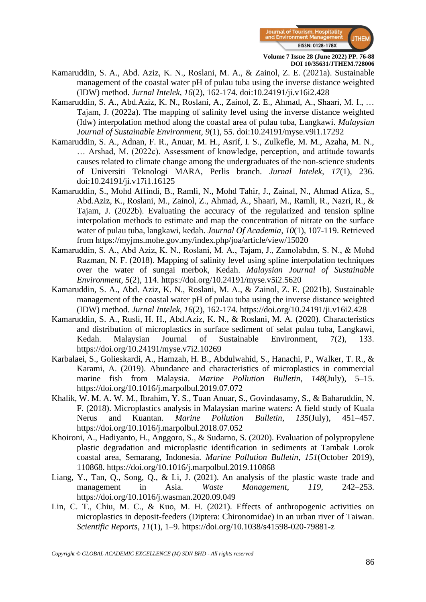

- Kamaruddin, S. A., Abd. Aziz, K. N., Roslani, M. A., & Zainol, Z. E. (2021a). Sustainable management of the coastal water pH of pulau tuba using the inverse distance weighted (IDW) method. *Jurnal Intelek, 16*(2), 162-174. doi:10.24191/ji.v16i2.428
- Kamaruddin, S. A., Abd.Aziz, K. N., Roslani, A., Zainol, Z. E., Ahmad, A., Shaari, M. I., … Tajam, J. (2022a). The mapping of salinity level using the inverse distance weighted (Idw) interpolation method along the coastal area of pulau tuba, Langkawi. *Malaysian Journal of Sustainable Environment, 9*(1), 55. doi:10.24191/myse.v9i1.17292
- Kamaruddin, S. A., Adnan, F. R., Anuar, M. H., Asrif, I. S., Zulkefle, M. M., Azaha, M. N., … Arshad, M. (2022c). Assessment of knowledge, perception, and attitude towards causes related to climate change among the undergraduates of the non-science students of Universiti Teknologi MARA, Perlis branch. *Jurnal Intelek, 17*(1), 236. doi:10.24191/ji.v17i1.16125
- Kamaruddin, S., Mohd Affindi, B., Ramli, N., Mohd Tahir, J., Zainal, N., Ahmad Afiza, S., Abd.Aziz, K., Roslani, M., Zainol, Z., Ahmad, A., Shaari, M., Ramli, R., Nazri, R., & Tajam, J. (2022b). Evaluating the accuracy of the regularized and tension spline interpolation methods to estimate and map the concentration of nitrate on the surface water of pulau tuba, langkawi, kedah. *Journal Of Academia, 10*(1), 107-119. Retrieved from https://myjms.mohe.gov.my/index.php/joa/article/view/15020
- Kamaruddin, S. A., Abd Aziz, K. N., Roslani, M. A., Tajam, J., Zaınolabdın, S. N., & Mohd Razman, N. F. (2018). Mapping of salinity level using spline interpolation techniques over the water of sungai merbok, Kedah. *Malaysian Journal of Sustainable Environment, 5*(2), 114. https://doi.org/10.24191/myse.v5i2.5620
- Kamaruddin, S. A., Abd. Aziz, K. N., Roslani, M. A., & Zainol, Z. E. (2021b). Sustainable management of the coastal water pH of pulau tuba using the inverse distance weighted (IDW) method. *Jurnal Intelek, 16*(2), 162-174. https://doi.org/10.24191/ji.v16i2.428
- Kamaruddin, S. A., Rusli, H. H., Abd.Aziz, K. N., & Roslani, M. A. (2020). Characteristics and distribution of microplastics in surface sediment of selat pulau tuba, Langkawi, Kedah. Malaysian Journal of Sustainable Environment, 7(2), 133. https://doi.org/10.24191/myse.v7i2.10269
- Karbalaei, S., Golieskardi, A., Hamzah, H. B., Abdulwahid, S., Hanachi, P., Walker, T. R., & Karami, A. (2019). Abundance and characteristics of microplastics in commercial marine fish from Malaysia. *Marine Pollution Bulletin*, *148*(July), 5–15. https://doi.org/10.1016/j.marpolbul.2019.07.072
- Khalik, W. M. A. W. M., Ibrahim, Y. S., Tuan Anuar, S., Govindasamy, S., & Baharuddin, N. F. (2018). Microplastics analysis in Malaysian marine waters: A field study of Kuala Nerus and Kuantan. *Marine Pollution Bulletin*, *135*(July), 451–457. https://doi.org/10.1016/j.marpolbul.2018.07.052
- Khoironi, A., Hadiyanto, H., Anggoro, S., & Sudarno, S. (2020). Evaluation of polypropylene plastic degradation and microplastic identification in sediments at Tambak Lorok coastal area, Semarang, Indonesia. *Marine Pollution Bulletin*, *151*(October 2019), 110868. https://doi.org/10.1016/j.marpolbul.2019.110868
- Liang, Y., Tan, Q., Song, Q., & Li, J. (2021). An analysis of the plastic waste trade and management in Asia. *Waste Management*, *119*, 242–253. https://doi.org/10.1016/j.wasman.2020.09.049
- Lin, C. T., Chiu, M. C., & Kuo, M. H. (2021). Effects of anthropogenic activities on microplastics in deposit-feeders (Diptera: Chironomidae) in an urban river of Taiwan. *Scientific Reports*, *11*(1), 1–9. https://doi.org/10.1038/s41598-020-79881-z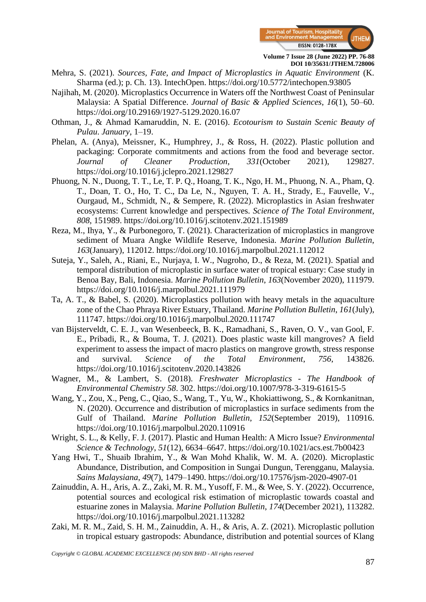

- Mehra, S. (2021). *Sources, Fate, and Impact of Microplastics in Aquatic Environment* (K. Sharma (ed.); p. Ch. 13). IntechOpen. https://doi.org/10.5772/intechopen.93805
- Najihah, M. (2020). Microplastics Occurrence in Waters off the Northwest Coast of Peninsular Malaysia: A Spatial Difference. *Journal of Basic & Applied Sciences*, *16*(1), 50–60. https://doi.org/10.29169/1927-5129.2020.16.07
- Othman, J., & Ahmad Kamaruddin, N. E. (2016). *Ecotourism to Sustain Scenic Beauty of Pulau*. *January*, 1–19.
- Phelan, A. (Anya), Meissner, K., Humphrey, J., & Ross, H. (2022). Plastic pollution and packaging: Corporate commitments and actions from the food and beverage sector. *Journal of Cleaner Production*, *331*(October 2021), 129827. https://doi.org/10.1016/j.jclepro.2021.129827
- Phuong, N. N., Duong, T. T., Le, T. P. Q., Hoang, T. K., Ngo, H. M., Phuong, N. A., Pham, Q. T., Doan, T. O., Ho, T. C., Da Le, N., Nguyen, T. A. H., Strady, E., Fauvelle, V., Ourgaud, M., Schmidt, N., & Sempere, R. (2022). Microplastics in Asian freshwater ecosystems: Current knowledge and perspectives. *Science of The Total Environment*, *808*, 151989. https://doi.org/10.1016/j.scitotenv.2021.151989
- Reza, M., Ihya, Y., & Purbonegoro, T. (2021). Characterization of microplastics in mangrove sediment of Muara Angke Wildlife Reserve, Indonesia. *Marine Pollution Bulletin*, *163*(January), 112012. https://doi.org/10.1016/j.marpolbul.2021.112012
- Suteja, Y., Saleh, A., Riani, E., Nurjaya, I. W., Nugroho, D., & Reza, M. (2021). Spatial and temporal distribution of microplastic in surface water of tropical estuary: Case study in Benoa Bay, Bali, Indonesia. *Marine Pollution Bulletin*, *163*(November 2020), 111979. https://doi.org/10.1016/j.marpolbul.2021.111979
- Ta, A. T., & Babel, S. (2020). Microplastics pollution with heavy metals in the aquaculture zone of the Chao Phraya River Estuary, Thailand. *Marine Pollution Bulletin*, *161*(July), 111747. https://doi.org/10.1016/j.marpolbul.2020.111747
- van Bijsterveldt, C. E. J., van Wesenbeeck, B. K., Ramadhani, S., Raven, O. V., van Gool, F. E., Pribadi, R., & Bouma, T. J. (2021). Does plastic waste kill mangroves? A field experiment to assess the impact of macro plastics on mangrove growth, stress response and survival. *Science of the Total Environment*, *756*, 143826. https://doi.org/10.1016/j.scitotenv.2020.143826
- Wagner, M., & Lambert, S. (2018). *Freshwater Microplastics - The Handbook of Environmental Chemistry 58*. 302. https://doi.org/10.1007/978-3-319-61615-5
- Wang, Y., Zou, X., Peng, C., Qiao, S., Wang, T., Yu, W., Khokiattiwong, S., & Kornkanitnan, N. (2020). Occurrence and distribution of microplastics in surface sediments from the Gulf of Thailand. *Marine Pollution Bulletin*, *152*(September 2019), 110916. https://doi.org/10.1016/j.marpolbul.2020.110916
- Wright, S. L., & Kelly, F. J. (2017). Plastic and Human Health: A Micro Issue? *Environmental Science & Technology*, *51*(12), 6634–6647. https://doi.org/10.1021/acs.est.7b00423
- Yang Hwi, T., Shuaib Ibrahim, Y., & Wan Mohd Khalik, W. M. A. (2020). Microplastic Abundance, Distribution, and Composition in Sungai Dungun, Terengganu, Malaysia. *Sains Malaysiana*, *49*(7), 1479–1490. https://doi.org/10.17576/jsm-2020-4907-01
- Zainuddin, A. H., Aris, A. Z., Zaki, M. R. M., Yusoff, F. M., & Wee, S. Y. (2022). Occurrence, potential sources and ecological risk estimation of microplastic towards coastal and estuarine zones in Malaysia. *Marine Pollution Bulletin*, *174*(December 2021), 113282. https://doi.org/10.1016/j.marpolbul.2021.113282
- Zaki, M. R. M., Zaid, S. H. M., Zainuddin, A. H., & Aris, A. Z. (2021). Microplastic pollution in tropical estuary gastropods: Abundance, distribution and potential sources of Klang